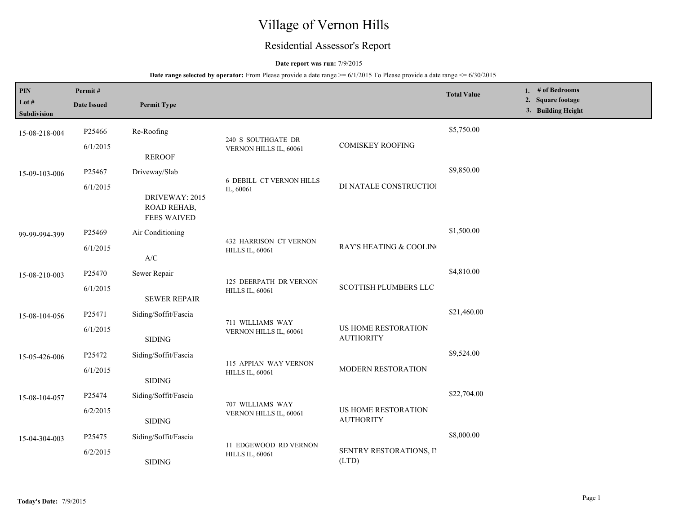# Village of Vernon Hills

## Residential Assessor's Report

## **Date report was run:** 7/9/2015

| PIN<br>Lot #<br>Subdivision | Permit#<br><b>Date Issued</b> | <b>Permit Type</b>                                          |                                                         |                                         | <b>Total Value</b> |  | 1. # of Bedrooms<br>2. Square footage<br>3. Building Height |
|-----------------------------|-------------------------------|-------------------------------------------------------------|---------------------------------------------------------|-----------------------------------------|--------------------|--|-------------------------------------------------------------|
| 15-08-218-004               | P25466                        | Re-Roofing                                                  |                                                         |                                         | \$5,750.00         |  |                                                             |
|                             | 6/1/2015<br><b>REROOF</b>     | 240 S SOUTHGATE DR<br>VERNON HILLS IL, 60061                | <b>COMISKEY ROOFING</b>                                 |                                         |                    |  |                                                             |
| 15-09-103-006               | P25467                        | Driveway/Slab                                               |                                                         |                                         | \$9,850.00         |  |                                                             |
|                             | 6/1/2015                      | DRIVEWAY: 2015<br><b>ROAD REHAB,</b><br><b>FEES WAIVED</b>  | <b>6 DEBILL CT VERNON HILLS</b><br>IL, 60061            | DI NATALE CONSTRUCTIOI                  |                    |  |                                                             |
| 99-99-994-399               | P25469                        | Air Conditioning                                            | <b>432 HARRISON CT VERNON</b><br><b>HILLS IL, 60061</b> |                                         | \$1,500.00         |  |                                                             |
|                             | 6/1/2015                      | $\ensuremath{\text{A}}\xspace/\ensuremath{\text{C}}\xspace$ |                                                         | RAY'S HEATING & COOLING                 |                    |  |                                                             |
| 15-08-210-003               | P25470                        | Sewer Repair                                                | 125 DEERPATH DR VERNON<br><b>HILLS IL, 60061</b>        | <b>SCOTTISH PLUMBERS LLC</b>            | \$4,810.00         |  |                                                             |
|                             | 6/1/2015                      | <b>SEWER REPAIR</b>                                         |                                                         |                                         |                    |  |                                                             |
| 15-08-104-056               | P25471                        | Siding/Soffit/Fascia                                        |                                                         | US HOME RESTORATION<br><b>AUTHORITY</b> | \$21,460.00        |  |                                                             |
|                             | 6/1/2015                      | <b>SIDING</b>                                               | 711 WILLIAMS WAY<br>VERNON HILLS IL, 60061              |                                         |                    |  |                                                             |
| 15-05-426-006               | P25472                        | Siding/Soffit/Fascia                                        |                                                         |                                         | \$9,524.00         |  |                                                             |
|                             | 6/1/2015                      | <b>SIDING</b>                                               | 115 APPIAN WAY VERNON<br><b>HILLS IL, 60061</b>         | MODERN RESTORATION                      |                    |  |                                                             |
| 15-08-104-057               | P25474                        | Siding/Soffit/Fascia                                        |                                                         |                                         | \$22,704.00        |  |                                                             |
|                             | 6/2/2015                      | <b>SIDING</b>                                               | 707 WILLIAMS WAY<br>VERNON HILLS IL, 60061              | US HOME RESTORATION<br><b>AUTHORITY</b> |                    |  |                                                             |
| 15-04-304-003               | P25475                        | Siding/Soffit/Fascia                                        |                                                         | SENTRY RESTORATIONS, II<br>(LTD)        | \$8,000.00         |  |                                                             |
|                             | 6/2/2015                      | <b>SIDING</b>                                               | 11 EDGEWOOD RD VERNON<br><b>HILLS IL, 60061</b>         |                                         |                    |  |                                                             |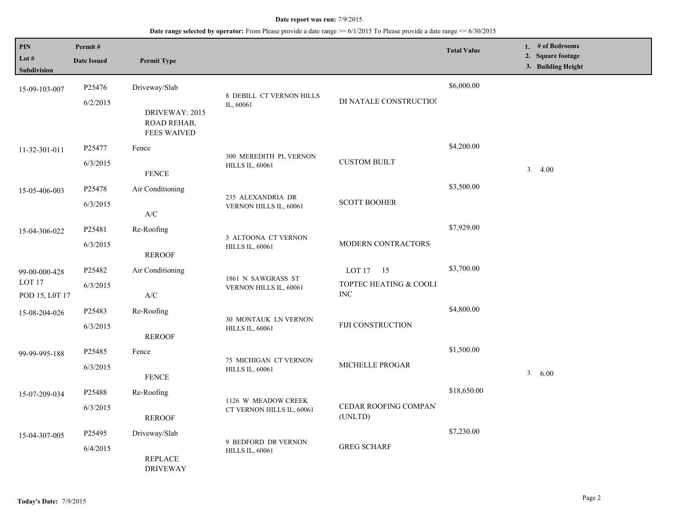| PIN<br>Lot $#$<br>Subdivision                        | Permit#<br><b>Date Issued</b>  | <b>Permit Type</b>                                                                  |                                                  |                                                       | <b>Total Value</b> | 1. # of Bedrooms<br>2. Square footage<br>3. Building Height |
|------------------------------------------------------|--------------------------------|-------------------------------------------------------------------------------------|--------------------------------------------------|-------------------------------------------------------|--------------------|-------------------------------------------------------------|
| 15-09-103-007                                        | P <sub>25476</sub><br>6/2/2015 | Driveway/Slab<br>DRIVEWAY: 2015<br>ROAD REHAB,<br><b>FEES WAIVED</b>                | 8 DEBILL CT VERNON HILLS<br>IL, 60061            | DI NATALE CONSTRUCTIOI                                | \$6,000.00         |                                                             |
| 11-32-301-011                                        | P25477<br>6/3/2015             | Fence<br>${\tt FENCE}$                                                              | 300 MEREDITH PL VERNON<br><b>HILLS IL, 60061</b> | <b>CUSTOM BUILT</b>                                   | \$4,200.00         | 3.4.00                                                      |
| 15-05-406-003                                        | P25478<br>6/3/2015             | Air Conditioning<br>$\ensuremath{\text{A}}\xspace/\ensuremath{\text{C}}\xspace$     | 235 ALEXANDRIA DR<br>VERNON HILLS IL, 60061      | <b>SCOTT BOOHER</b>                                   | \$3,500.00         |                                                             |
| 15-04-306-022                                        | P25481<br>6/3/2015             | Re-Roofing<br><b>REROOF</b>                                                         | 3 ALTOONA CT VERNON<br><b>HILLS IL, 60061</b>    | MODERN CONTRACTORS                                    | \$7,929.00         |                                                             |
| 99-00-000-428<br>LOT <sub>17</sub><br>POD 15, L0T 17 | P25482<br>6/3/2015             | Air Conditioning<br>$\ensuremath{\mathsf{A}}\xspace/\ensuremath{\mathsf{C}}\xspace$ | 1861 N SAWGRASS ST<br>VERNON HILLS IL, 60061     | LOT $17 \t15$<br>TOPTEC HEATING & COOLI<br><b>INC</b> | \$3,700.00         |                                                             |
| 15-08-204-026                                        | P25483<br>6/3/2015             | Re-Roofing<br><b>REROOF</b>                                                         | 30 MONTAUK LN VERNON<br><b>HILLS IL, 60061</b>   | FIJI CONSTRUCTION                                     | \$4,800.00         |                                                             |
| 99-99-995-188                                        | P25485<br>6/3/2015             | Fence<br><b>FENCE</b>                                                               | 75 MICHIGAN CT VERNON<br><b>HILLS IL, 60061</b>  | MICHELLE PROGAR                                       | \$1,500.00         | 3. 6.00                                                     |
| 15-07-209-034                                        | P25488<br>6/3/2015             | Re-Roofing<br><b>REROOF</b>                                                         | 1126 W MEADOW CREEK<br>CT VERNON HILLS IL, 60061 | CEDAR ROOFING COMPAN<br>(UNLTD)                       | \$18,650.00        |                                                             |
| 15-04-307-005                                        | P25495<br>6/4/2015             | Driveway/Slab<br><b>REPLACE</b><br><b>DRIVEWAY</b>                                  | 9 BEDFORD DR VERNON<br><b>HILLS IL, 60061</b>    | <b>GREG SCHARF</b>                                    | \$7,230.00         |                                                             |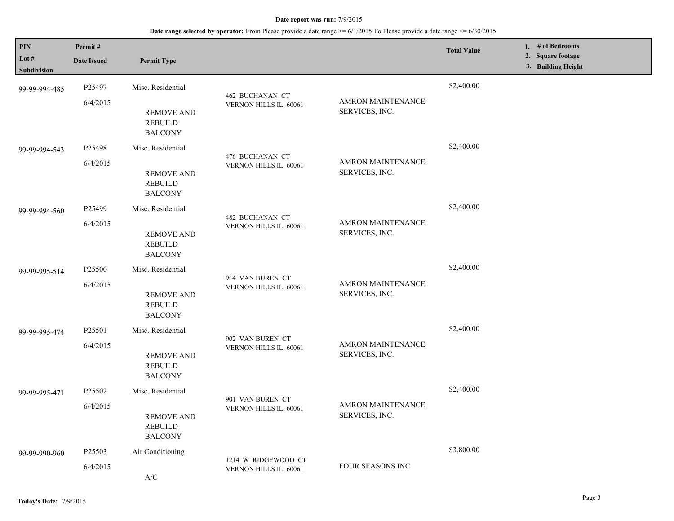| PIN                    | Permit#                                                           |                                                       |                                            |                                            | <b>Total Value</b> | 1. # of Bedrooms                        |
|------------------------|-------------------------------------------------------------------|-------------------------------------------------------|--------------------------------------------|--------------------------------------------|--------------------|-----------------------------------------|
| Lot $#$<br>Subdivision | <b>Date Issued</b>                                                | <b>Permit Type</b>                                    |                                            |                                            |                    | 2. Square footage<br>3. Building Height |
| 99-99-994-485          | P25497                                                            | Misc. Residential                                     |                                            |                                            | \$2,400.00         |                                         |
|                        | 6/4/2015                                                          | <b>REMOVE AND</b><br><b>REBUILD</b><br><b>BALCONY</b> | 462 BUCHANAN CT<br>VERNON HILLS IL, 60061  | <b>AMRON MAINTENANCE</b><br>SERVICES, INC. |                    |                                         |
| 99-99-994-543          | P25498                                                            | Misc. Residential                                     | 476 BUCHANAN CT                            |                                            | \$2,400.00         |                                         |
|                        | 6/4/2015<br><b>REMOVE AND</b><br><b>REBUILD</b><br><b>BALCONY</b> | VERNON HILLS IL, 60061<br>SERVICES, INC.              | AMRON MAINTENANCE                          |                                            |                    |                                         |
| 99-99-994-560          | P25499                                                            | Misc. Residential                                     |                                            |                                            | \$2,400.00         |                                         |
|                        | 6/4/2015                                                          | <b>REMOVE AND</b><br><b>REBUILD</b><br><b>BALCONY</b> | 482 BUCHANAN CT<br>VERNON HILLS IL, 60061  | <b>AMRON MAINTENANCE</b><br>SERVICES, INC. |                    |                                         |
| 99-99-995-514          | P <sub>25500</sub>                                                | Misc. Residential                                     |                                            |                                            | \$2,400.00         |                                         |
|                        | 6/4/2015                                                          | <b>REMOVE AND</b><br><b>REBUILD</b><br><b>BALCONY</b> | 914 VAN BUREN CT<br>VERNON HILLS IL, 60061 | <b>AMRON MAINTENANCE</b><br>SERVICES, INC. |                    |                                         |
| 99-99-995-474          | P25501                                                            | Misc. Residential                                     |                                            |                                            | \$2,400.00         |                                         |
|                        | 6/4/2015                                                          | <b>REMOVE AND</b><br><b>REBUILD</b><br><b>BALCONY</b> | 902 VAN BUREN CT<br>VERNON HILLS IL, 60061 | <b>AMRON MAINTENANCE</b><br>SERVICES, INC. |                    |                                         |
| 99-99-995-471          | P25502                                                            | Misc. Residential                                     |                                            |                                            | \$2,400.00         |                                         |
|                        | 6/4/2015                                                          | <b>REMOVE AND</b><br><b>REBUILD</b><br><b>BALCONY</b> | 901 VAN BUREN CT<br>VERNON HILLS IL, 60061 | AMRON MAINTENANCE<br>SERVICES, INC.        |                    |                                         |
| 99-99-990-960          | P25503                                                            | Air Conditioning                                      | 1214 W RIDGEWOOD CT                        |                                            | \$3,800.00         |                                         |
|                        | 6/4/2015<br>A/C                                                   | VERNON HILLS IL, 60061                                | FOUR SEASONS INC                           |                                            |                    |                                         |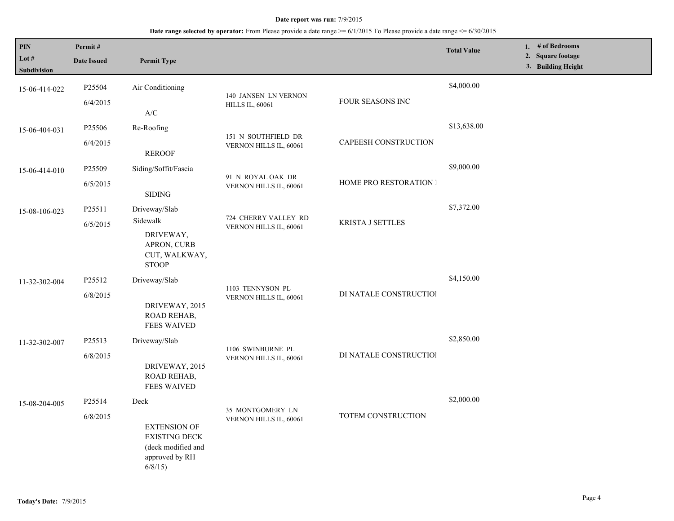| PIN<br>Lot #<br>Subdivision | Permit#<br><b>Date Issued</b> | <b>Permit Type</b>                                                                                    |                                                |                         | <b>Total Value</b> | 1. # of Bedrooms<br>2. Square footage<br>3. Building Height |
|-----------------------------|-------------------------------|-------------------------------------------------------------------------------------------------------|------------------------------------------------|-------------------------|--------------------|-------------------------------------------------------------|
| 15-06-414-022               | P25504<br>6/4/2015            | Air Conditioning<br>$\mathbf{A}/\mathbf{C}$                                                           | 140 JANSEN LN VERNON<br><b>HILLS IL, 60061</b> | FOUR SEASONS INC        | \$4,000.00         |                                                             |
| 15-06-404-031               | P25506<br>6/4/2015            | Re-Roofing<br><b>REROOF</b>                                                                           | 151 N SOUTHFIELD DR<br>VERNON HILLS IL, 60061  | CAPEESH CONSTRUCTION    | \$13,638.00        |                                                             |
| 15-06-414-010               | P25509<br>6/5/2015            | Siding/Soffit/Fascia<br><b>SIDING</b>                                                                 | 91 N ROYAL OAK DR<br>VERNON HILLS IL, 60061    | HOME PRO RESTORATION I  | \$9,000.00         |                                                             |
| 15-08-106-023               | P25511<br>6/5/2015            | Driveway/Slab<br>Sidewalk<br>DRIVEWAY,<br>APRON, CURB<br>CUT, WALKWAY,<br><b>STOOP</b>                | 724 CHERRY VALLEY RD<br>VERNON HILLS IL, 60061 | <b>KRISTA J SETTLES</b> | \$7,372.00         |                                                             |
| 11-32-302-004               | P25512<br>6/8/2015            | Driveway/Slab<br>DRIVEWAY, 2015<br>ROAD REHAB,<br><b>FEES WAIVED</b>                                  | 1103 TENNYSON PL<br>VERNON HILLS IL, 60061     | DI NATALE CONSTRUCTIOI  | \$4,150.00         |                                                             |
| 11-32-302-007               | P25513<br>6/8/2015            | Driveway/Slab<br>DRIVEWAY, 2015<br>ROAD REHAB,<br><b>FEES WAIVED</b>                                  | 1106 SWINBURNE PL<br>VERNON HILLS IL, 60061    | DI NATALE CONSTRUCTIOI  | \$2,850.00         |                                                             |
| 15-08-204-005               | P25514<br>6/8/2015            | Deck<br><b>EXTENSION OF</b><br><b>EXISTING DECK</b><br>(deck modified and<br>approved by RH<br>6/8/15 | 35 MONTGOMERY LN<br>VERNON HILLS IL, 60061     | TOTEM CONSTRUCTION      | \$2,000.00         |                                                             |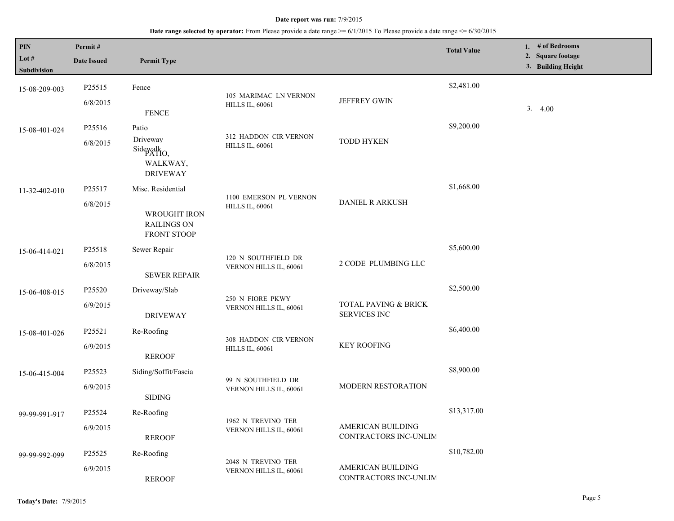| $\mathbf{PIN}$<br>Lot #<br>Subdivision | Permit#<br><b>Date Issued</b> | <b>Permit Type</b>                |                                                  |                                             | <b>Total Value</b> | 1. # of Bedrooms<br>2. Square footage<br>3. Building Height |
|----------------------------------------|-------------------------------|-----------------------------------|--------------------------------------------------|---------------------------------------------|--------------------|-------------------------------------------------------------|
|                                        | P25515                        | Fence                             |                                                  |                                             | \$2,481.00         |                                                             |
| 15-08-209-003                          |                               |                                   | 105 MARIMAC LN VERNON                            | <b>JEFFREY GWIN</b>                         |                    |                                                             |
|                                        | 6/8/2015                      | <b>FENCE</b>                      | <b>HILLS IL, 60061</b>                           |                                             |                    | 3.4.00                                                      |
| 15-08-401-024                          | P25516                        | Patio                             |                                                  |                                             | \$9,200.00         |                                                             |
|                                        | 6/8/2015                      | Driveway                          | 312 HADDON CIR VERNON                            | <b>TODD HYKEN</b>                           |                    |                                                             |
|                                        |                               | Sidewalk <sub>O</sub> ,           | <b>HILLS IL, 60061</b>                           |                                             |                    |                                                             |
|                                        |                               | WALKWAY,<br><b>DRIVEWAY</b>       |                                                  |                                             |                    |                                                             |
| 11-32-402-010                          | P25517                        | Misc. Residential                 |                                                  |                                             | \$1,668.00         |                                                             |
|                                        | 6/8/2015                      |                                   | 1100 EMERSON PL VERNON<br><b>HILLS IL, 60061</b> | DANIEL R ARKUSH                             |                    |                                                             |
|                                        |                               | WROUGHT IRON                      |                                                  |                                             |                    |                                                             |
|                                        |                               | <b>RAILINGS ON</b><br>FRONT STOOP |                                                  |                                             |                    |                                                             |
|                                        | P25518                        | Sewer Repair                      |                                                  |                                             | \$5,600.00         |                                                             |
| 15-06-414-021                          | 6/8/2015                      |                                   | 120 N SOUTHFIELD DR                              | 2 CODE PLUMBING LLC                         |                    |                                                             |
|                                        |                               | <b>SEWER REPAIR</b>               | VERNON HILLS IL, 60061                           |                                             |                    |                                                             |
| 15-06-408-015                          | P25520                        | Driveway/Slab                     |                                                  |                                             | \$2,500.00         |                                                             |
|                                        | 6/9/2015                      |                                   | 250 N FIORE PKWY                                 | TOTAL PAVING & BRICK<br><b>SERVICES INC</b> |                    |                                                             |
|                                        |                               | <b>DRIVEWAY</b>                   | VERNON HILLS IL, 60061                           |                                             |                    |                                                             |
| 15-08-401-026                          | P25521                        | Re-Roofing                        |                                                  |                                             | \$6,400.00         |                                                             |
|                                        | 6/9/2015                      |                                   | 308 HADDON CIR VERNON<br><b>HILLS IL, 60061</b>  | <b>KEY ROOFING</b>                          |                    |                                                             |
|                                        |                               | <b>REROOF</b>                     |                                                  |                                             |                    |                                                             |
| 15-06-415-004                          | P25523                        | Siding/Soffit/Fascia              |                                                  |                                             | \$8,900.00         |                                                             |
|                                        | 6/9/2015                      |                                   | 99 N SOUTHFIELD DR<br>VERNON HILLS IL, 60061     | MODERN RESTORATION                          |                    |                                                             |
|                                        |                               | <b>SIDING</b>                     |                                                  |                                             |                    |                                                             |
| 99-99-991-917                          | P25524                        | Re-Roofing                        |                                                  |                                             | \$13,317.00        |                                                             |
|                                        | 6/9/2015                      |                                   | 1962 N TREVINO TER<br>VERNON HILLS IL, 60061     | AMERICAN BUILDING                           |                    |                                                             |
|                                        |                               | <b>REROOF</b>                     |                                                  | CONTRACTORS INC-UNLIM                       |                    |                                                             |
| 99-99-992-099                          | P25525                        | Re-Roofing                        |                                                  |                                             | \$10,782.00        |                                                             |
|                                        | 6/9/2015                      |                                   | 2048 N TREVINO TER<br>VERNON HILLS IL, 60061     | AMERICAN BUILDING                           |                    |                                                             |
|                                        |                               | <b>REROOF</b>                     |                                                  | CONTRACTORS INC-UNLIM                       |                    |                                                             |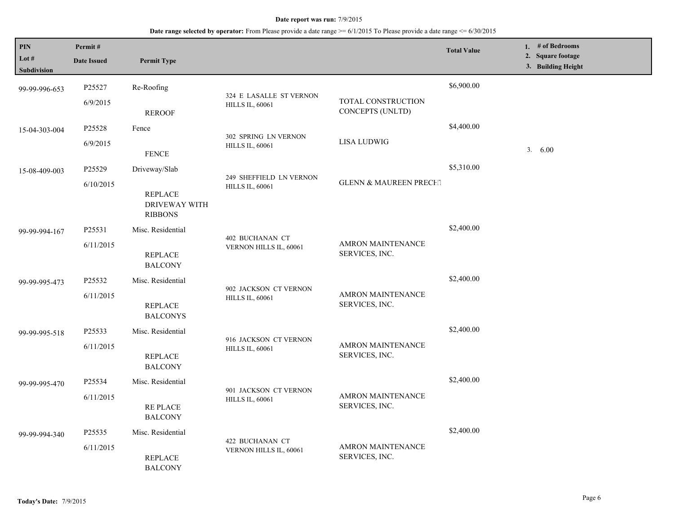| PIN<br>Lot $#$<br>Subdivision | Permit#<br><b>Date Issued</b> | <b>Permit Type</b>                                                 |                                                   |                                            | <b>Total Value</b> | 1. $#$ of Bedrooms<br>2. Square footage<br>3. Building Height |
|-------------------------------|-------------------------------|--------------------------------------------------------------------|---------------------------------------------------|--------------------------------------------|--------------------|---------------------------------------------------------------|
| 99-99-996-653                 | P25527<br>6/9/2015            | Re-Roofing<br><b>REROOF</b>                                        | 324 E LASALLE ST VERNON<br><b>HILLS IL, 60061</b> | TOTAL CONSTRUCTION<br>CONCEPTS (UNLTD)     | \$6,900.00         |                                                               |
| 15-04-303-004                 | P25528<br>6/9/2015            | Fence<br><b>FENCE</b>                                              | 302 SPRING LN VERNON<br><b>HILLS IL, 60061</b>    | <b>LISA LUDWIG</b>                         | \$4,400.00         | 3. 6.00                                                       |
| 15-08-409-003                 | P25529<br>6/10/2015           | Driveway/Slab<br><b>REPLACE</b><br>DRIVEWAY WITH<br><b>RIBBONS</b> | 249 SHEFFIELD LN VERNON<br><b>HILLS IL, 60061</b> | <b>GLENN &amp; MAUREEN PRECHT</b>          | \$5,310.00         |                                                               |
| 99-99-994-167                 | P25531<br>6/11/2015           | Misc. Residential<br><b>REPLACE</b><br><b>BALCONY</b>              | 402 BUCHANAN CT<br>VERNON HILLS IL, 60061         | <b>AMRON MAINTENANCE</b><br>SERVICES, INC. | \$2,400.00         |                                                               |
| 99-99-995-473                 | P25532<br>6/11/2015           | Misc. Residential<br><b>REPLACE</b><br><b>BALCONYS</b>             | 902 JACKSON CT VERNON<br><b>HILLS IL, 60061</b>   | <b>AMRON MAINTENANCE</b><br>SERVICES, INC. | \$2,400.00         |                                                               |
| 99-99-995-518                 | P25533<br>6/11/2015           | Misc. Residential<br><b>REPLACE</b><br><b>BALCONY</b>              | 916 JACKSON CT VERNON<br><b>HILLS IL, 60061</b>   | AMRON MAINTENANCE<br>SERVICES, INC.        | \$2,400.00         |                                                               |
| 99-99-995-470                 | P25534<br>6/11/2015           | Misc. Residential<br><b>REPLACE</b><br><b>BALCONY</b>              | 901 JACKSON CT VERNON<br><b>HILLS IL, 60061</b>   | <b>AMRON MAINTENANCE</b><br>SERVICES, INC. | \$2,400.00         |                                                               |
| 99-99-994-340                 | P25535<br>6/11/2015           | Misc. Residential<br><b>REPLACE</b><br><b>BALCONY</b>              | 422 BUCHANAN CT<br>VERNON HILLS IL, 60061         | <b>AMRON MAINTENANCE</b><br>SERVICES, INC. | \$2,400.00         |                                                               |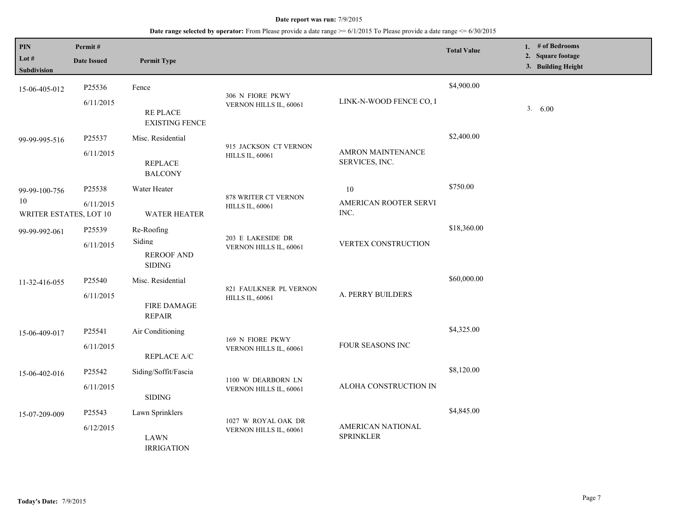| <b>PIN</b><br>Lot $#$<br>Subdivision          | Permit#<br><b>Date Issued</b> | <b>Permit Type</b>                                         |                                                  |                                       | <b>Total Value</b> | 1. $#$ of Bedrooms<br>2. Square footage<br>3. Building Height |
|-----------------------------------------------|-------------------------------|------------------------------------------------------------|--------------------------------------------------|---------------------------------------|--------------------|---------------------------------------------------------------|
| 15-06-405-012                                 | P25536<br>6/11/2015           | Fence<br><b>RE PLACE</b><br><b>EXISTING FENCE</b>          | 306 N FIORE PKWY<br>VERNON HILLS IL, 60061       | LINK-N-WOOD FENCE CO, I               | \$4,900.00         | 3.<br>6.00                                                    |
| 99-99-995-516                                 | P25537<br>6/11/2015           | Misc. Residential<br><b>REPLACE</b><br><b>BALCONY</b>      | 915 JACKSON CT VERNON<br><b>HILLS IL, 60061</b>  | AMRON MAINTENANCE<br>SERVICES, INC.   | \$2,400.00         |                                                               |
| 99-99-100-756<br>10<br>WRITER ESTATES, LOT 10 | P25538<br>6/11/2015           | Water Heater<br><b>WATER HEATER</b>                        | 878 WRITER CT VERNON<br><b>HILLS IL, 60061</b>   | 10<br>AMERICAN ROOTER SERVI<br>INC.   | \$750.00           |                                                               |
| 99-99-992-061                                 | P25539<br>6/11/2015           | Re-Roofing<br>Siding<br><b>REROOF AND</b><br><b>SIDING</b> | 203 E LAKESIDE DR<br>VERNON HILLS IL, 60061      | VERTEX CONSTRUCTION                   | \$18,360.00        |                                                               |
| 11-32-416-055                                 | P25540<br>6/11/2015           | Misc. Residential<br><b>FIRE DAMAGE</b><br><b>REPAIR</b>   | 821 FAULKNER PL VERNON<br><b>HILLS IL, 60061</b> | A. PERRY BUILDERS                     | \$60,000.00        |                                                               |
| 15-06-409-017                                 | P25541<br>6/11/2015           | Air Conditioning<br><b>REPLACE A/C</b>                     | 169 N FIORE PKWY<br>VERNON HILLS IL, 60061       | FOUR SEASONS INC                      | \$4,325.00         |                                                               |
| 15-06-402-016                                 | P25542<br>6/11/2015           | Siding/Soffit/Fascia<br><b>SIDING</b>                      | 1100 W DEARBORN LN<br>VERNON HILLS IL, 60061     | ALOHA CONSTRUCTION IN                 | \$8,120.00         |                                                               |
| 15-07-209-009                                 | P25543<br>6/12/2015           | Lawn Sprinklers<br><b>LAWN</b><br><b>IRRIGATION</b>        | 1027 W ROYAL OAK DR<br>VERNON HILLS IL, 60061    | AMERICAN NATIONAL<br><b>SPRINKLER</b> | \$4,845.00         |                                                               |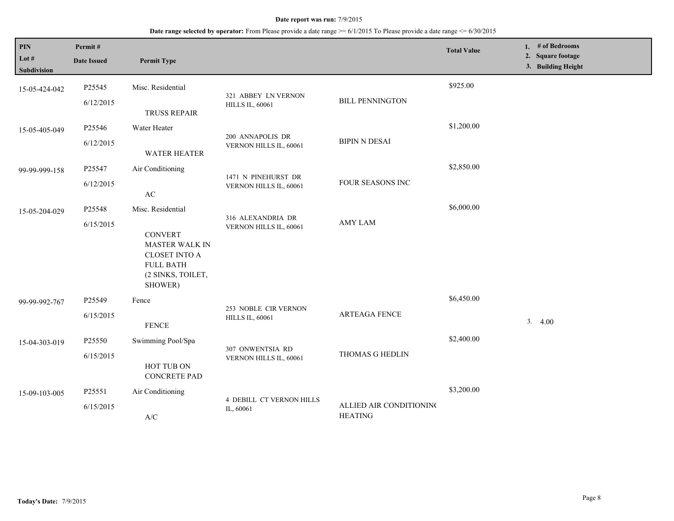| <b>PIN</b><br>Lot $#$<br><b>Subdivision</b> | Permit#<br><b>Date Issued</b> | <b>Permit Type</b>                                                                                                                       |                                                |                                           | <b>Total Value</b> | 1. $#$ of Bedrooms<br>2. Square footage<br>3. Building Height |
|---------------------------------------------|-------------------------------|------------------------------------------------------------------------------------------------------------------------------------------|------------------------------------------------|-------------------------------------------|--------------------|---------------------------------------------------------------|
| 15-05-424-042                               | P25545<br>6/12/2015           | Misc. Residential<br><b>TRUSS REPAIR</b>                                                                                                 | 321 ABBEY LN VERNON<br><b>HILLS IL, 60061</b>  | <b>BILL PENNINGTON</b>                    | \$925.00           |                                                               |
| 15-05-405-049                               | P25546<br>6/12/2015           | Water Heater<br><b>WATER HEATER</b>                                                                                                      | 200 ANNAPOLIS DR<br>VERNON HILLS IL, 60061     | <b>BIPIN N DESAI</b>                      | \$1,200.00         |                                                               |
| 99-99-999-158                               | P25547<br>6/12/2015           | Air Conditioning<br>$\mathbf{A}\mathbf{C}$                                                                                               | 1471 N PINEHURST DR<br>VERNON HILLS IL, 60061  | FOUR SEASONS INC                          | \$2,850.00         |                                                               |
| 15-05-204-029                               | P25548<br>6/15/2015           | Misc. Residential<br><b>CONVERT</b><br><b>MASTER WALK IN</b><br><b>CLOSET INTO A</b><br><b>FULL BATH</b><br>(2 SINKS, TOILET,<br>SHOWER) | 316 ALEXANDRIA DR<br>VERNON HILLS IL, 60061    | <b>AMY LAM</b>                            | \$6,000.00         |                                                               |
| 99-99-992-767                               | P25549<br>6/15/2015           | Fence<br><b>FENCE</b>                                                                                                                    | 253 NOBLE CIR VERNON<br><b>HILLS IL, 60061</b> | <b>ARTEAGA FENCE</b>                      | \$6,450.00         | 3.<br>4.00                                                    |
| 15-04-303-019                               | P25550<br>6/15/2015           | Swimming Pool/Spa<br>HOT TUB ON<br><b>CONCRETE PAD</b>                                                                                   | 307 ONWENTSIA RD<br>VERNON HILLS IL, 60061     | THOMAS G HEDLIN                           | \$2,400.00         |                                                               |
| 15-09-103-005                               | P25551<br>6/15/2015           | Air Conditioning<br>$\ensuremath{\mathsf{A}}\xspace/\ensuremath{\mathsf{C}}\xspace$                                                      | <b>4 DEBILL CT VERNON HILLS</b><br>IL, 60061   | ALLIED AIR CONDITIONING<br><b>HEATING</b> | \$3,200.00         |                                                               |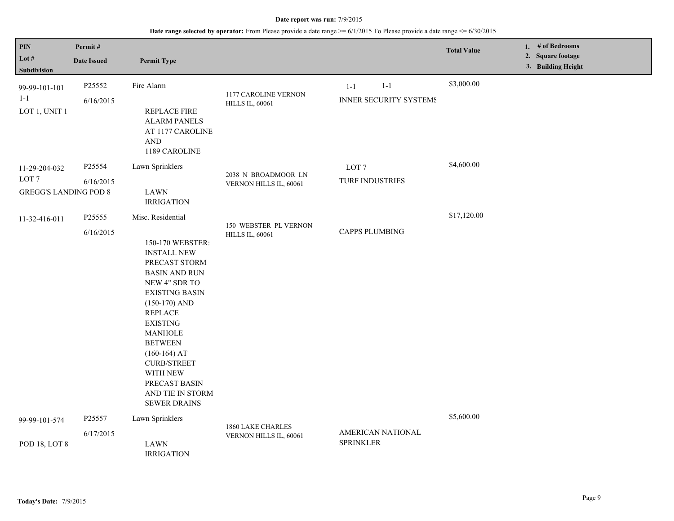| <b>PIN</b><br>Lot $#$<br>Subdivision                              | Permit#<br><b>Date Issued</b> | <b>Permit Type</b>                                                                                                                                                                                                                                                                                                                                  |                                                 |                                                     | <b>Total Value</b> | 1. # of Bedrooms<br>2. Square footage<br>3. Building Height |
|-------------------------------------------------------------------|-------------------------------|-----------------------------------------------------------------------------------------------------------------------------------------------------------------------------------------------------------------------------------------------------------------------------------------------------------------------------------------------------|-------------------------------------------------|-----------------------------------------------------|--------------------|-------------------------------------------------------------|
| 99-99-101-101<br>$1 - 1$<br>LOT 1, UNIT 1                         | P25552<br>6/16/2015           | Fire Alarm<br><b>REPLACE FIRE</b><br><b>ALARM PANELS</b><br>AT 1177 CAROLINE<br>$\operatorname{AND}$<br>1189 CAROLINE                                                                                                                                                                                                                               | 1177 CAROLINE VERNON<br><b>HILLS IL, 60061</b>  | $1 - 1$<br>$1 - 1$<br><b>INNER SECURITY SYSTEMS</b> | \$3,000.00         |                                                             |
| 11-29-204-032<br>LOT <sub>7</sub><br><b>GREGG'S LANDING POD 8</b> | P25554<br>6/16/2015           | Lawn Sprinklers<br><b>LAWN</b><br><b>IRRIGATION</b>                                                                                                                                                                                                                                                                                                 | 2038 N BROADMOOR LN<br>VERNON HILLS IL, 60061   | LOT <sub>7</sub><br>TURF INDUSTRIES                 | \$4,600.00         |                                                             |
| 11-32-416-011                                                     | P25555<br>6/16/2015           | Misc. Residential<br>150-170 WEBSTER:<br><b>INSTALL NEW</b><br>PRECAST STORM<br><b>BASIN AND RUN</b><br>NEW 4" SDR TO<br>EXISTING BASIN<br>$(150-170)$ AND<br><b>REPLACE</b><br><b>EXISTING</b><br><b>MANHOLE</b><br><b>BETWEEN</b><br>$(160-164)$ AT<br><b>CURB/STREET</b><br>WITH NEW<br>PRECAST BASIN<br>AND TIE IN STORM<br><b>SEWER DRAINS</b> | 150 WEBSTER PL VERNON<br><b>HILLS IL, 60061</b> | <b>CAPPS PLUMBING</b>                               | \$17,120.00        |                                                             |
| 99-99-101-574                                                     | P25557<br>6/17/2015           | Lawn Sprinklers                                                                                                                                                                                                                                                                                                                                     | 1860 LAKE CHARLES<br>VERNON HILLS IL, 60061     | AMERICAN NATIONAL                                   | \$5,600.00         |                                                             |
| POD 18, LOT 8                                                     |                               | <b>LAWN</b><br><b>IRRIGATION</b>                                                                                                                                                                                                                                                                                                                    |                                                 | <b>SPRINKLER</b>                                    |                    |                                                             |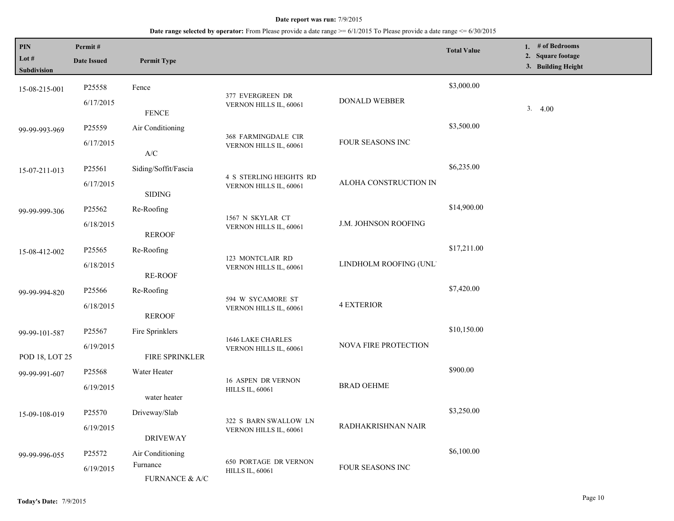| PIN<br>Lot $#$<br><b>Subdivision</b> | Permit#<br><b>Date Issued</b>   | <b>Permit Type</b>                                |                                                        |                        | <b>Total Value</b> | 1. # of Bedrooms<br>2. Square footage<br>3. Building Height |
|--------------------------------------|---------------------------------|---------------------------------------------------|--------------------------------------------------------|------------------------|--------------------|-------------------------------------------------------------|
| 15-08-215-001                        | P25558<br>6/17/2015             | Fence<br><b>FENCE</b>                             | 377 EVERGREEN DR<br>VERNON HILLS IL, 60061             | DONALD WEBBER          | \$3,000.00         | 3.4.00                                                      |
| 99-99-993-969                        | P25559<br>6/17/2015             | Air Conditioning                                  | 368 FARMINGDALE CIR<br>VERNON HILLS IL, 60061          | FOUR SEASONS INC       | \$3,500.00         |                                                             |
| 15-07-211-013                        | P25561<br>6/17/2015             | $\mathbf{A}/\mathbf{C}$<br>Siding/Soffit/Fascia   | 4 S STERLING HEIGHTS RD<br>VERNON HILLS IL, 60061      | ALOHA CONSTRUCTION IN  | \$6,235.00         |                                                             |
| 99-99-999-306                        | P25562<br>6/18/2015             | <b>SIDING</b><br>Re-Roofing                       | 1567 N SKYLAR CT<br>VERNON HILLS IL, 60061             | J.M. JOHNSON ROOFING   | \$14,900.00        |                                                             |
| 15-08-412-002                        | P <sub>25565</sub><br>6/18/2015 | <b>REROOF</b><br>Re-Roofing<br><b>RE-ROOF</b>     | 123 MONTCLAIR RD<br>VERNON HILLS IL, 60061             | LINDHOLM ROOFING (UNL' | \$17,211.00        |                                                             |
| 99-99-994-820                        | P25566<br>6/18/2015             | Re-Roofing<br><b>REROOF</b>                       | 594 W SYCAMORE ST<br>VERNON HILLS IL, 60061            | <b>4 EXTERIOR</b>      | \$7,420.00         |                                                             |
| 99-99-101-587<br>POD 18, LOT 25      | P25567<br>6/19/2015             | Fire Sprinklers<br>FIRE SPRINKLER                 | 1646 LAKE CHARLES<br>VERNON HILLS IL, 60061            | NOVA FIRE PROTECTION   | \$10,150.00        |                                                             |
| 99-99-991-607                        | P25568<br>6/19/2015             | Water Heater<br>water heater                      | 16 ASPEN DR VERNON<br><b>HILLS IL, 60061</b>           | <b>BRAD OEHME</b>      | \$900.00           |                                                             |
| 15-09-108-019                        | P25570<br>6/19/2015             | Driveway/Slab<br><b>DRIVEWAY</b>                  | 322 S BARN SWALLOW LN<br>VERNON HILLS IL, 60061        | RADHAKRISHNAN NAIR     | \$3,250.00         |                                                             |
| 99-99-996-055                        | P25572<br>6/19/2015             | Air Conditioning<br>Furnance<br>FURNANCE $\&$ A/C | <b>650 PORTAGE DR VERNON</b><br><b>HILLS IL, 60061</b> | FOUR SEASONS INC       | \$6,100.00         |                                                             |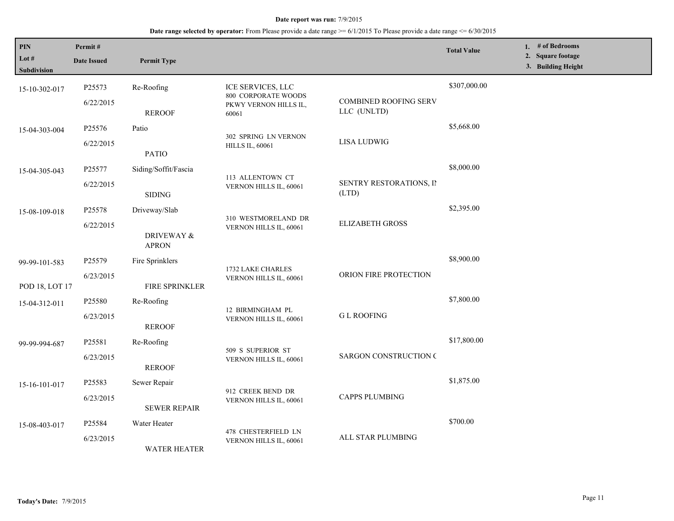| PIN<br>Lot #<br><b>Subdivision</b> | Permit#<br><b>Date Issued</b>   | <b>Permit Type</b>                          |                                                                            |                                             | <b>Total Value</b> | 1. # of Bedrooms<br>2. Square footage<br>3. Building Height |
|------------------------------------|---------------------------------|---------------------------------------------|----------------------------------------------------------------------------|---------------------------------------------|--------------------|-------------------------------------------------------------|
| 15-10-302-017                      | P25573<br>6/22/2015             | Re-Roofing<br><b>REROOF</b>                 | ICE SERVICES, LLC<br>800 CORPORATE WOODS<br>PKWY VERNON HILLS IL,<br>60061 | <b>COMBINED ROOFING SERV</b><br>LLC (UNLTD) | \$307,000.00       |                                                             |
| 15-04-303-004                      | P25576<br>6/22/2015             | Patio<br><b>PATIO</b>                       | 302 SPRING LN VERNON<br><b>HILLS IL, 60061</b>                             | <b>LISA LUDWIG</b>                          | \$5,668.00         |                                                             |
| 15-04-305-043                      | P25577<br>6/22/2015             | Siding/Soffit/Fascia<br><b>SIDING</b>       | 113 ALLENTOWN CT<br>VERNON HILLS IL, 60061                                 | SENTRY RESTORATIONS, II<br>(LTD)            | \$8,000.00         |                                                             |
| 15-08-109-018                      | P25578<br>6/22/2015             | Driveway/Slab<br>DRIVEWAY &<br><b>APRON</b> | 310 WESTMORELAND DR<br>VERNON HILLS IL, 60061                              | <b>ELIZABETH GROSS</b>                      | \$2,395.00         |                                                             |
| 99-99-101-583<br>POD 18, LOT 17    | P <sub>25579</sub><br>6/23/2015 | Fire Sprinklers<br>FIRE SPRINKLER           | 1732 LAKE CHARLES<br>VERNON HILLS IL, 60061                                | ORION FIRE PROTECTION                       | \$8,900.00         |                                                             |
| 15-04-312-011                      | P <sub>25580</sub><br>6/23/2015 | Re-Roofing<br><b>REROOF</b>                 | 12 BIRMINGHAM PL<br>VERNON HILLS IL, 60061                                 | <b>GL ROOFING</b>                           | \$7,800.00         |                                                             |
| 99-99-994-687                      | P25581<br>6/23/2015             | Re-Roofing<br><b>REROOF</b>                 | 509 S SUPERIOR ST<br>VERNON HILLS IL, 60061                                | <b>SARGON CONSTRUCTION C</b>                | \$17,800.00        |                                                             |
| 15-16-101-017                      | P25583<br>6/23/2015             | Sewer Repair<br><b>SEWER REPAIR</b>         | 912 CREEK BEND DR<br>VERNON HILLS IL, 60061                                | <b>CAPPS PLUMBING</b>                       | \$1,875.00         |                                                             |
| 15-08-403-017                      | P25584<br>6/23/2015             | Water Heater<br><b>WATER HEATER</b>         | 478 CHESTERFIELD LN<br>VERNON HILLS IL, 60061                              | ALL STAR PLUMBING                           | \$700.00           |                                                             |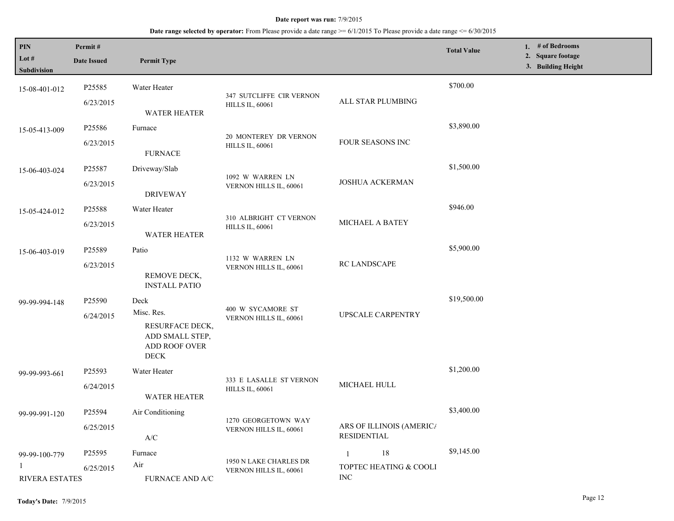| PIN<br>Lot $#$<br><b>Subdivision</b> | Permit#<br><b>Date Issued</b> | <b>Permit Type</b>                                                              |                                                    |                                                | <b>Total Value</b> | 1. # of Bedrooms<br>2. Square footage<br>3. Building Height |
|--------------------------------------|-------------------------------|---------------------------------------------------------------------------------|----------------------------------------------------|------------------------------------------------|--------------------|-------------------------------------------------------------|
| 15-08-401-012                        | P25585<br>6/23/2015           | Water Heater                                                                    | 347 SUTCLIFFE CIR VERNON<br><b>HILLS IL, 60061</b> | ALL STAR PLUMBING                              | \$700.00           |                                                             |
|                                      |                               | <b>WATER HEATER</b>                                                             |                                                    |                                                |                    |                                                             |
| 15-05-413-009                        | P25586                        | Furnace                                                                         | 20 MONTEREY DR VERNON                              |                                                | \$3,890.00         |                                                             |
|                                      | 6/23/2015                     | <b>FURNACE</b>                                                                  | <b>HILLS IL, 60061</b>                             | FOUR SEASONS INC                               |                    |                                                             |
| 15-06-403-024                        | P25587                        | Driveway/Slab                                                                   | 1092 W WARREN LN<br>VERNON HILLS IL, 60061         |                                                | \$1,500.00         |                                                             |
|                                      | 6/23/2015                     | <b>DRIVEWAY</b>                                                                 |                                                    | <b>JOSHUA ACKERMAN</b>                         |                    |                                                             |
| 15-05-424-012                        | P25588                        | Water Heater                                                                    |                                                    |                                                | \$946.00           |                                                             |
|                                      | 6/23/2015                     | <b>WATER HEATER</b>                                                             | 310 ALBRIGHT CT VERNON<br><b>HILLS IL, 60061</b>   | MICHAEL A BATEY                                |                    |                                                             |
| 15-06-403-019                        | P25589                        | Patio                                                                           |                                                    |                                                | \$5,900.00         |                                                             |
|                                      | 6/23/2015                     | REMOVE DECK,<br><b>INSTALL PATIO</b>                                            | 1132 W WARREN LN<br>VERNON HILLS IL, 60061         | RC LANDSCAPE                                   |                    |                                                             |
| 99-99-994-148                        | P25590                        | Deck                                                                            | 400 W SYCAMORE ST<br>VERNON HILLS IL, 60061        | UPSCALE CARPENTRY                              | \$19,500.00        |                                                             |
|                                      | 6/24/2015                     | Misc. Res.<br>RESURFACE DECK,<br>ADD SMALL STEP,<br>ADD ROOF OVER<br>$\rm DECK$ |                                                    |                                                |                    |                                                             |
| 99-99-993-661                        | P25593                        | Water Heater                                                                    | 333 E LASALLE ST VERNON                            |                                                | \$1,200.00         |                                                             |
|                                      | 6/24/2015                     | <b>WATER HEATER</b>                                                             | <b>HILLS IL, 60061</b>                             | MICHAEL HULL                                   |                    |                                                             |
| 99-99-991-120                        | P25594                        | Air Conditioning                                                                |                                                    |                                                | \$3,400.00         |                                                             |
|                                      | 6/25/2015                     | $\ensuremath{\text{A}}\xspace/\ensuremath{\text{C}}\xspace$                     | 1270 GEORGETOWN WAY<br>VERNON HILLS IL, 60061      | ARS OF ILLINOIS (AMERIC/<br><b>RESIDENTIAL</b> |                    |                                                             |
| 99-99-100-779                        | P25595                        | Furnace                                                                         |                                                    | $18\,$<br>$\mathbf{1}$                         | \$9,145.00         |                                                             |
| $\mathbf{1}$<br>RIVERA ESTATES       | 6/25/2015                     | Air<br>FURNACE AND A/C                                                          | 1950 N LAKE CHARLES DR<br>VERNON HILLS IL, 60061   | TOPTEC HEATING & COOLI<br>$\rm{INC}$           |                    |                                                             |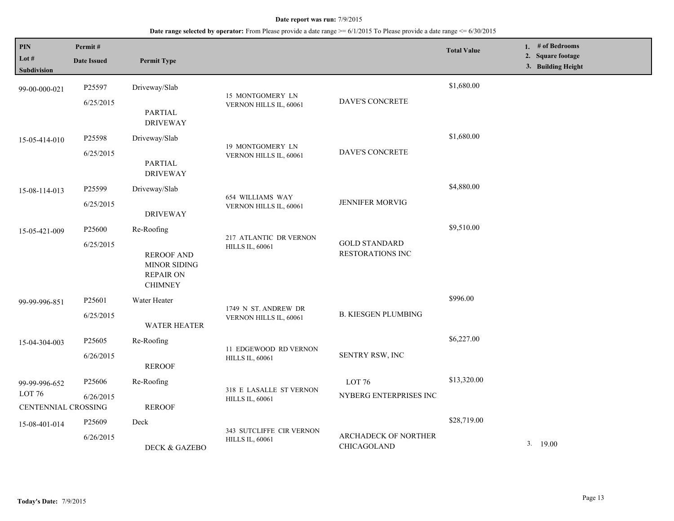| <b>PIN</b><br>Lot $#$<br>Subdivision           | Permit#<br><b>Date Issued</b>   | <b>Permit Type</b>                                                                           |                                                    |                                             | <b>Total Value</b> | 1. $#$ of Bedrooms<br>2. Square footage<br>3. Building Height |
|------------------------------------------------|---------------------------------|----------------------------------------------------------------------------------------------|----------------------------------------------------|---------------------------------------------|--------------------|---------------------------------------------------------------|
| 99-00-000-021                                  | P25597<br>6/25/2015             | Driveway/Slab<br>PARTIAL<br><b>DRIVEWAY</b>                                                  | 15 MONTGOMERY LN<br>VERNON HILLS IL, 60061         | DAVE'S CONCRETE                             | \$1,680.00         |                                                               |
| 15-05-414-010                                  | P25598<br>6/25/2015             | Driveway/Slab<br><b>PARTIAL</b><br><b>DRIVEWAY</b>                                           | 19 MONTGOMERY LN<br>VERNON HILLS IL, 60061         | DAVE'S CONCRETE                             | \$1,680.00         |                                                               |
| 15-08-114-013                                  | P25599<br>6/25/2015             | Driveway/Slab<br><b>DRIVEWAY</b>                                                             | 654 WILLIAMS WAY<br>VERNON HILLS IL, 60061         | <b>JENNIFER MORVIG</b>                      | \$4,880.00         |                                                               |
| 15-05-421-009                                  | P <sub>25600</sub><br>6/25/2015 | Re-Roofing<br><b>REROOF AND</b><br><b>MINOR SIDING</b><br><b>REPAIR ON</b><br><b>CHIMNEY</b> | 217 ATLANTIC DR VERNON<br><b>HILLS IL, 60061</b>   | <b>GOLD STANDARD</b><br>RESTORATIONS INC    | \$9,510.00         |                                                               |
| 99-99-996-851                                  | P <sub>25601</sub><br>6/25/2015 | Water Heater<br><b>WATER HEATER</b>                                                          | 1749 N ST. ANDREW DR<br>VERNON HILLS IL, 60061     | <b>B. KIESGEN PLUMBING</b>                  | \$996.00           |                                                               |
| 15-04-304-003                                  | P25605<br>6/26/2015             | Re-Roofing<br><b>REROOF</b>                                                                  | 11 EDGEWOOD RD VERNON<br><b>HILLS IL, 60061</b>    | SENTRY RSW, INC                             | \$6,227.00         |                                                               |
| 99-99-996-652<br>LOT 76<br>CENTENNIAL CROSSING | P <sub>25606</sub><br>6/26/2015 | Re-Roofing<br><b>REROOF</b>                                                                  | 318 E LASALLE ST VERNON<br><b>HILLS IL, 60061</b>  | LOT <sub>76</sub><br>NYBERG ENTERPRISES INC | \$13,320.00        |                                                               |
| 15-08-401-014                                  | P <sub>25609</sub><br>6/26/2015 | Deck<br>DECK & GAZEBO                                                                        | 343 SUTCLIFFE CIR VERNON<br><b>HILLS IL, 60061</b> | ARCHADECK OF NORTHER<br>CHICAGOLAND         | \$28,719.00        | 3.19.00                                                       |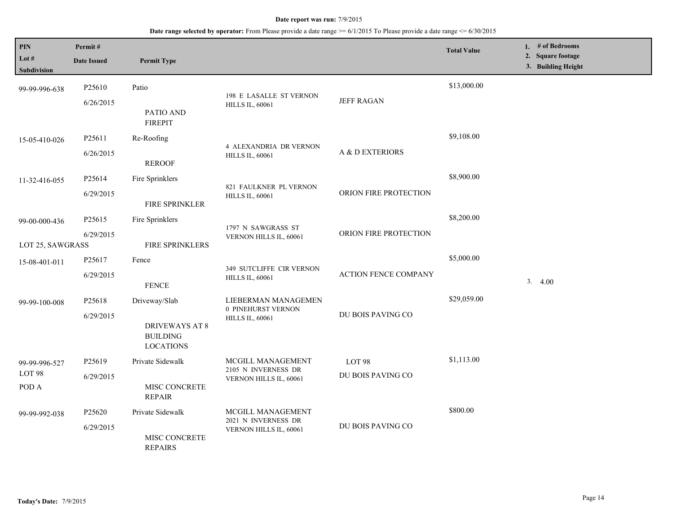| PIN<br>Lot $#$<br><b>Subdivision</b>        | Permit#<br><b>Date Issued</b>   | <b>Permit Type</b>                                                            |                                                                     |                             | <b>Total Value</b> | 1. # of Bedrooms<br>2. Square footage<br>3. Building Height |
|---------------------------------------------|---------------------------------|-------------------------------------------------------------------------------|---------------------------------------------------------------------|-----------------------------|--------------------|-------------------------------------------------------------|
| 99-99-996-638                               | P <sub>25610</sub><br>6/26/2015 | Patio<br>PATIO AND<br><b>FIREPIT</b>                                          | 198 E LASALLE ST VERNON<br><b>HILLS IL, 60061</b>                   | <b>JEFF RAGAN</b>           | \$13,000.00        |                                                             |
| 15-05-410-026                               | P <sub>25611</sub><br>6/26/2015 | Re-Roofing<br><b>REROOF</b>                                                   | <b>4 ALEXANDRIA DR VERNON</b><br><b>HILLS IL, 60061</b>             | A & D EXTERIORS             | \$9,108.00         |                                                             |
| 11-32-416-055                               | P25614<br>6/29/2015             | Fire Sprinklers<br>FIRE SPRINKLER                                             | 821 FAULKNER PL VERNON<br><b>HILLS IL, 60061</b>                    | ORION FIRE PROTECTION       | \$8,900.00         |                                                             |
| 99-00-000-436<br>LOT 25, SAWGRASS           | P <sub>25615</sub><br>6/29/2015 | Fire Sprinklers<br>FIRE SPRINKLERS                                            | 1797 N SAWGRASS ST<br>VERNON HILLS IL, 60061                        | ORION FIRE PROTECTION       | \$8,200.00         |                                                             |
| 15-08-401-011                               | P25617<br>6/29/2015             | Fence<br><b>FENCE</b>                                                         | <b>349 SUTCLIFFE CIR VERNON</b><br><b>HILLS IL, 60061</b>           | <b>ACTION FENCE COMPANY</b> | \$5,000.00         | 3.4.00                                                      |
| 99-99-100-008                               | P <sub>25618</sub><br>6/29/2015 | Driveway/Slab<br><b>DRIVEWAYS AT 8</b><br><b>BUILDING</b><br><b>LOCATIONS</b> | LIEBERMAN MANAGEMEN<br>0 PINEHURST VERNON<br><b>HILLS IL, 60061</b> | DU BOIS PAVING CO           | \$29,059.00        |                                                             |
| 99-99-996-527<br>LOT <sub>98</sub><br>POD A | P <sub>25619</sub><br>6/29/2015 | Private Sidewalk<br>MISC CONCRETE<br><b>REPAIR</b>                            | MCGILL MANAGEMENT<br>2105 N INVERNESS DR<br>VERNON HILLS IL, 60061  | LOT 98<br>DU BOIS PAVING CO | \$1,113.00         |                                                             |
| 99-99-992-038                               | P25620<br>6/29/2015             | Private Sidewalk<br>MISC CONCRETE<br><b>REPAIRS</b>                           | MCGILL MANAGEMENT<br>2021 N INVERNESS DR<br>VERNON HILLS IL, 60061  | DU BOIS PAVING CO           | \$800.00           |                                                             |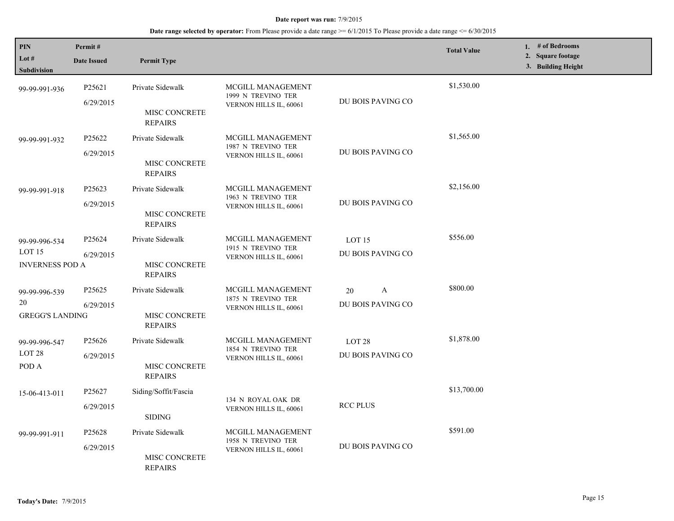| PIN<br>Lot $#$<br><b>Subdivision</b>                         | Permit#<br><b>Date Issued</b>   | <b>Permit Type</b>                                         |                                                                   |                                        | <b>Total Value</b> | 1. $#$ of Bedrooms<br>2. Square footage<br>3. Building Height |
|--------------------------------------------------------------|---------------------------------|------------------------------------------------------------|-------------------------------------------------------------------|----------------------------------------|--------------------|---------------------------------------------------------------|
| 99-99-991-936                                                | P25621<br>6/29/2015             | Private Sidewalk<br>MISC CONCRETE<br><b>REPAIRS</b>        | MCGILL MANAGEMENT<br>1999 N TREVINO TER<br>VERNON HILLS IL, 60061 | DU BOIS PAVING CO                      | \$1,530.00         |                                                               |
| 99-99-991-932                                                | P25622<br>6/29/2015             | Private Sidewalk<br>MISC CONCRETE<br><b>REPAIRS</b>        | MCGILL MANAGEMENT<br>1987 N TREVINO TER<br>VERNON HILLS IL, 60061 | DU BOIS PAVING CO                      | \$1,565.00         |                                                               |
| 99-99-991-918                                                | P <sub>25623</sub><br>6/29/2015 | Private Sidewalk<br>MISC CONCRETE<br><b>REPAIRS</b>        | MCGILL MANAGEMENT<br>1963 N TREVINO TER<br>VERNON HILLS IL, 60061 | DU BOIS PAVING CO                      | \$2,156.00         |                                                               |
| 99-99-996-534<br>LOT <sub>15</sub><br><b>INVERNESS POD A</b> | P25624<br>6/29/2015             | Private Sidewalk<br><b>MISC CONCRETE</b><br><b>REPAIRS</b> | MCGILL MANAGEMENT<br>1915 N TREVINO TER<br>VERNON HILLS IL, 60061 | LOT <sub>15</sub><br>DU BOIS PAVING CO | \$556.00           |                                                               |
| 99-99-996-539<br>20<br><b>GREGG'S LANDING</b>                | P25625<br>6/29/2015             | Private Sidewalk<br><b>MISC CONCRETE</b><br><b>REPAIRS</b> | MCGILL MANAGEMENT<br>1875 N TREVINO TER<br>VERNON HILLS IL, 60061 | A<br>20<br>DU BOIS PAVING CO           | \$800.00           |                                                               |
| 99-99-996-547<br>LOT <sub>28</sub><br>POD A                  | P25626<br>6/29/2015             | Private Sidewalk<br>MISC CONCRETE<br><b>REPAIRS</b>        | MCGILL MANAGEMENT<br>1854 N TREVINO TER<br>VERNON HILLS IL, 60061 | LOT <sub>28</sub><br>DU BOIS PAVING CO | \$1,878.00         |                                                               |
| 15-06-413-011                                                | P25627<br>6/29/2015             | Siding/Soffit/Fascia<br><b>SIDING</b>                      | 134 N ROYAL OAK DR<br>VERNON HILLS IL, 60061                      | <b>RCC PLUS</b>                        | \$13,700.00        |                                                               |
| 99-99-991-911                                                | P <sub>25628</sub><br>6/29/2015 | Private Sidewalk<br>MISC CONCRETE<br><b>REPAIRS</b>        | MCGILL MANAGEMENT<br>1958 N TREVINO TER<br>VERNON HILLS IL, 60061 | DU BOIS PAVING CO                      | \$591.00           |                                                               |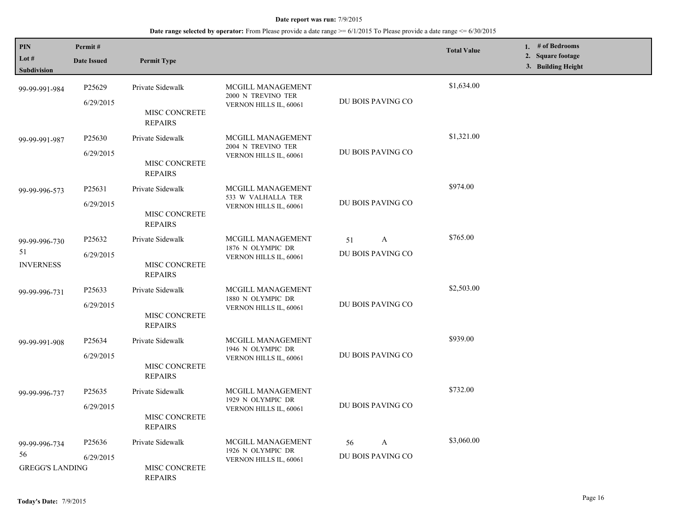| PIN<br>Lot $#$<br>Subdivision                 | Permit#<br><b>Date Issued</b>   | <b>Permit Type</b>                                  |                                                                   |                              | <b>Total Value</b> | 1. $#$ of Bedrooms<br>2. Square footage<br>3. Building Height |
|-----------------------------------------------|---------------------------------|-----------------------------------------------------|-------------------------------------------------------------------|------------------------------|--------------------|---------------------------------------------------------------|
| 99-99-991-984                                 | P <sub>25629</sub><br>6/29/2015 | Private Sidewalk<br>MISC CONCRETE<br><b>REPAIRS</b> | MCGILL MANAGEMENT<br>2000 N TREVINO TER<br>VERNON HILLS IL, 60061 | DU BOIS PAVING CO            | \$1,634.00         |                                                               |
| 99-99-991-987                                 | P25630<br>6/29/2015             | Private Sidewalk<br>MISC CONCRETE<br><b>REPAIRS</b> | MCGILL MANAGEMENT<br>2004 N TREVINO TER<br>VERNON HILLS IL, 60061 | DU BOIS PAVING CO            | \$1,321.00         |                                                               |
| 99-99-996-573                                 | P25631<br>6/29/2015             | Private Sidewalk<br>MISC CONCRETE<br><b>REPAIRS</b> | MCGILL MANAGEMENT<br>533 W VALHALLA TER<br>VERNON HILLS IL, 60061 | DU BOIS PAVING CO            | \$974.00           |                                                               |
| 99-99-996-730<br>51<br><b>INVERNESS</b>       | P <sub>25632</sub><br>6/29/2015 | Private Sidewalk<br>MISC CONCRETE<br><b>REPAIRS</b> | MCGILL MANAGEMENT<br>1876 N OLYMPIC DR<br>VERNON HILLS IL, 60061  | A<br>51<br>DU BOIS PAVING CO | \$765.00           |                                                               |
| 99-99-996-731                                 | P25633<br>6/29/2015             | Private Sidewalk<br>MISC CONCRETE<br><b>REPAIRS</b> | MCGILL MANAGEMENT<br>1880 N OLYMPIC DR<br>VERNON HILLS IL, 60061  | DU BOIS PAVING CO            | \$2,503.00         |                                                               |
| 99-99-991-908                                 | P25634<br>6/29/2015             | Private Sidewalk<br>MISC CONCRETE<br><b>REPAIRS</b> | MCGILL MANAGEMENT<br>1946 N OLYMPIC DR<br>VERNON HILLS IL, 60061  | DU BOIS PAVING CO            | \$939.00           |                                                               |
| 99-99-996-737                                 | P <sub>25635</sub><br>6/29/2015 | Private Sidewalk<br>MISC CONCRETE<br><b>REPAIRS</b> | MCGILL MANAGEMENT<br>1929 N OLYMPIC DR<br>VERNON HILLS IL, 60061  | DU BOIS PAVING CO            | \$732.00           |                                                               |
| 99-99-996-734<br>56<br><b>GREGG'S LANDING</b> | P25636<br>6/29/2015             | Private Sidewalk<br>MISC CONCRETE<br><b>REPAIRS</b> | MCGILL MANAGEMENT<br>1926 N OLYMPIC DR<br>VERNON HILLS IL, 60061  | A<br>56<br>DU BOIS PAVING CO | \$3,060.00         |                                                               |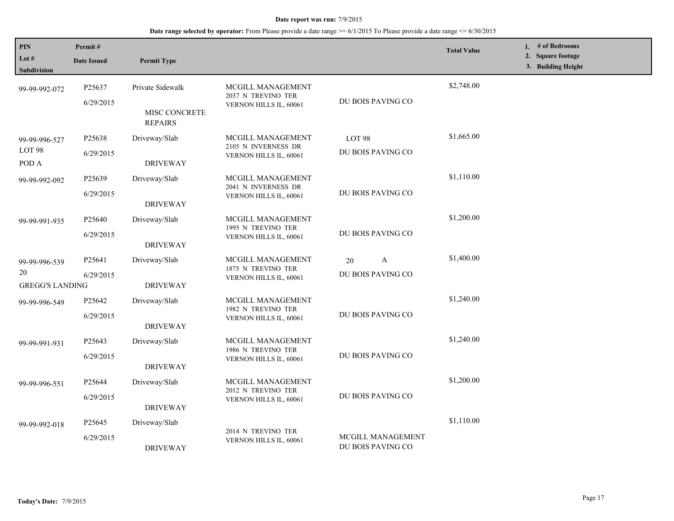| PIN<br>Lot $#$<br><b>Subdivision</b>          | Permit#<br><b>Date Issued</b>   | <b>Permit Type</b>                                         |                                                                    |                                               | <b>Total Value</b> | 1. # of Bedrooms<br>2. Square footage<br>3. Building Height |
|-----------------------------------------------|---------------------------------|------------------------------------------------------------|--------------------------------------------------------------------|-----------------------------------------------|--------------------|-------------------------------------------------------------|
| 99-99-992-072                                 | P25637<br>6/29/2015             | Private Sidewalk<br><b>MISC CONCRETE</b><br><b>REPAIRS</b> | MCGILL MANAGEMENT<br>2037 N TREVINO TER<br>VERNON HILLS IL, 60061  | DU BOIS PAVING CO                             | \$2,748.00         |                                                             |
| 99-99-996-527<br>LOT <sub>98</sub><br>POD A   | P25638<br>6/29/2015             | Driveway/Slab<br><b>DRIVEWAY</b>                           | MCGILL MANAGEMENT<br>2105 N INVERNESS DR<br>VERNON HILLS IL, 60061 | LOT 98<br>DU BOIS PAVING CO                   | \$1,665.00         |                                                             |
| 99-99-992-092                                 | P25639<br>6/29/2015             | Driveway/Slab<br><b>DRIVEWAY</b>                           | MCGILL MANAGEMENT<br>2041 N INVERNESS DR<br>VERNON HILLS IL, 60061 | DU BOIS PAVING CO                             | \$1,110.00         |                                                             |
| 99-99-991-935                                 | P <sub>25640</sub><br>6/29/2015 | Driveway/Slab<br><b>DRIVEWAY</b>                           | MCGILL MANAGEMENT<br>1995 N TREVINO TER<br>VERNON HILLS IL, 60061  | DU BOIS PAVING CO                             | \$1,200.00         |                                                             |
| 99-99-996-539<br>20<br><b>GREGG'S LANDING</b> | P25641<br>6/29/2015             | Driveway/Slab<br><b>DRIVEWAY</b>                           | MCGILL MANAGEMENT<br>1875 N TREVINO TER<br>VERNON HILLS IL, 60061  | A<br>20<br>DU BOIS PAVING CO                  | \$1,400.00         |                                                             |
| 99-99-996-549                                 | P25642<br>6/29/2015             | Driveway/Slab<br><b>DRIVEWAY</b>                           | MCGILL MANAGEMENT<br>1982 N TREVINO TER<br>VERNON HILLS IL, 60061  | DU BOIS PAVING CO                             | \$1,240.00         |                                                             |
| 99-99-991-931                                 | P <sub>25643</sub><br>6/29/2015 | Driveway/Slab<br><b>DRIVEWAY</b>                           | MCGILL MANAGEMENT<br>1986 N TREVINO TER<br>VERNON HILLS IL, 60061  | DU BOIS PAVING CO                             | \$1,240.00         |                                                             |
| 99-99-996-551                                 | P25644<br>6/29/2015             | Driveway/Slab<br><b>DRIVEWAY</b>                           | MCGILL MANAGEMENT<br>2012 N TREVINO TER<br>VERNON HILLS IL, 60061  | DU BOIS PAVING CO                             | \$1,200.00         |                                                             |
| 99-99-992-018                                 | P <sub>25645</sub><br>6/29/2015 | Driveway/Slab<br><b>DRIVEWAY</b>                           | 2014 N TREVINO TER<br>VERNON HILLS IL, 60061                       | <b>MCGILL MANAGEMENT</b><br>DU BOIS PAVING CO | \$1,110.00         |                                                             |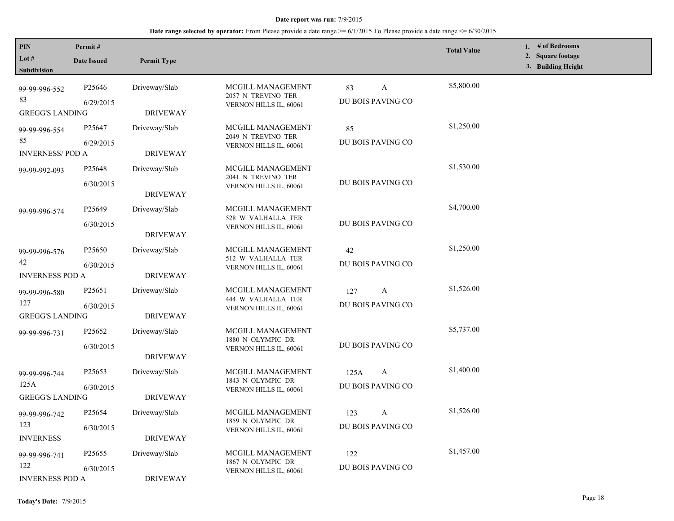| <b>PIN</b><br>Lot $#$<br>Subdivision                                    | Permit#<br><b>Date Issued</b>   | <b>Permit Type</b>                                  |                                                                   |                                          | <b>Total Value</b> | 1. # of Bedrooms<br>2. Square footage<br>3. Building Height |
|-------------------------------------------------------------------------|---------------------------------|-----------------------------------------------------|-------------------------------------------------------------------|------------------------------------------|--------------------|-------------------------------------------------------------|
| 99-99-996-552<br>83                                                     | P25646<br>6/29/2015             | Driveway/Slab                                       | MCGILL MANAGEMENT<br>2057 N TREVINO TER<br>VERNON HILLS IL, 60061 | A<br>83<br>DU BOIS PAVING CO             | \$5,800.00         |                                                             |
| <b>GREGG'S LANDING</b><br>99-99-996-554<br>85<br><b>INVERNESS/POD A</b> | P <sub>25647</sub><br>6/29/2015 | <b>DRIVEWAY</b><br>Driveway/Slab<br><b>DRIVEWAY</b> | MCGILL MANAGEMENT<br>2049 N TREVINO TER<br>VERNON HILLS IL, 60061 | 85<br>DU BOIS PAVING CO                  | \$1,250.00         |                                                             |
| 99-99-992-093                                                           | P25648<br>6/30/2015             | Driveway/Slab<br><b>DRIVEWAY</b>                    | MCGILL MANAGEMENT<br>2041 N TREVINO TER<br>VERNON HILLS IL, 60061 | DU BOIS PAVING CO                        | \$1,530.00         |                                                             |
| 99-99-996-574                                                           | P25649<br>6/30/2015             | Driveway/Slab<br><b>DRIVEWAY</b>                    | MCGILL MANAGEMENT<br>528 W VALHALLA TER<br>VERNON HILLS IL, 60061 | DU BOIS PAVING CO                        | \$4,700.00         |                                                             |
| 99-99-996-576<br>42<br><b>INVERNESS POD A</b>                           | P <sub>25650</sub><br>6/30/2015 | Driveway/Slab<br><b>DRIVEWAY</b>                    | MCGILL MANAGEMENT<br>512 W VALHALLA TER<br>VERNON HILLS IL, 60061 | 42<br>DU BOIS PAVING CO                  | \$1,250.00         |                                                             |
| 99-99-996-580<br>127<br><b>GREGG'S LANDING</b>                          | P <sub>25651</sub><br>6/30/2015 | Driveway/Slab<br><b>DRIVEWAY</b>                    | MCGILL MANAGEMENT<br>444 W VALHALLA TER<br>VERNON HILLS IL, 60061 | 127<br>$\mathbf{A}$<br>DU BOIS PAVING CO | \$1,526.00         |                                                             |
| 99-99-996-731                                                           | P25652<br>6/30/2015             | Driveway/Slab<br><b>DRIVEWAY</b>                    | MCGILL MANAGEMENT<br>1880 N OLYMPIC DR<br>VERNON HILLS IL, 60061  | DU BOIS PAVING CO                        | \$5,737.00         |                                                             |
| 99-99-996-744<br>125A<br><b>GREGG'S LANDING</b>                         | P25653<br>6/30/2015             | Driveway/Slab<br><b>DRIVEWAY</b>                    | MCGILL MANAGEMENT<br>1843 N OLYMPIC DR<br>VERNON HILLS IL, 60061  | 125A<br>A<br>DU BOIS PAVING CO           | \$1,400.00         |                                                             |
| 99-99-996-742<br>123<br><b>INVERNESS</b>                                | P <sub>25654</sub><br>6/30/2015 | Driveway/Slab<br><b>DRIVEWAY</b>                    | MCGILL MANAGEMENT<br>1859 N OLYMPIC DR<br>VERNON HILLS IL, 60061  | A<br>123<br>DU BOIS PAVING CO            | \$1,526.00         |                                                             |
| 99-99-996-741<br>122<br><b>INVERNESS POD A</b>                          | P <sub>25655</sub><br>6/30/2015 | Driveway/Slab<br><b>DRIVEWAY</b>                    | MCGILL MANAGEMENT<br>1867 N OLYMPIC DR<br>VERNON HILLS IL, 60061  | 122<br>DU BOIS PAVING CO                 | \$1,457.00         |                                                             |